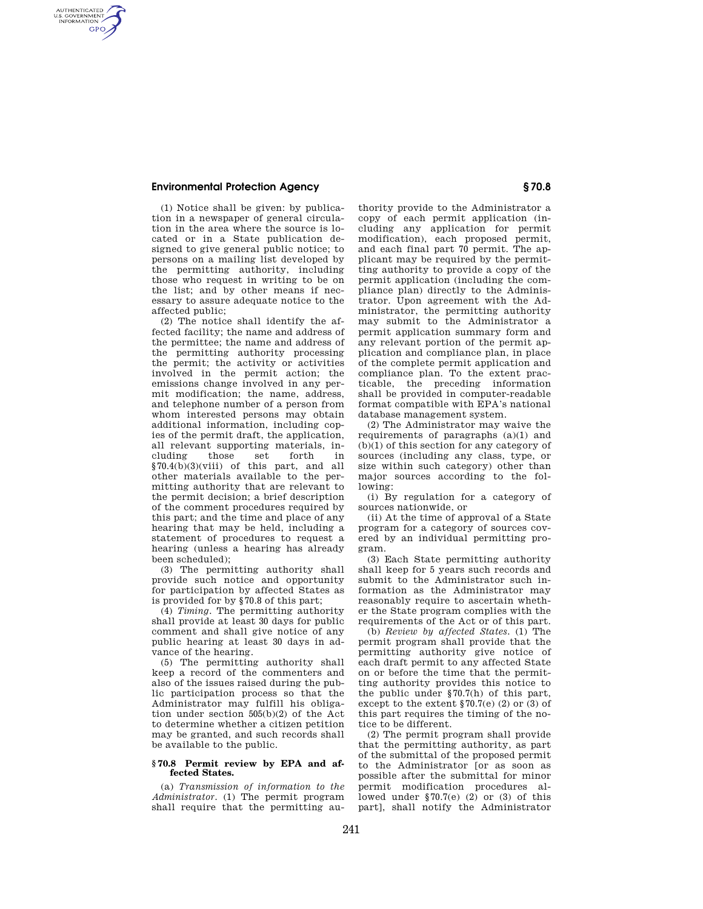## **Environmental Protection Agency § 70.8**

AUTHENTICATED<br>U.S. GOVERNMENT<br>INFORMATION **GPO** 

> (1) Notice shall be given: by publication in a newspaper of general circulation in the area where the source is located or in a State publication designed to give general public notice; to persons on a mailing list developed by the permitting authority, including those who request in writing to be on the list; and by other means if necessary to assure adequate notice to the affected public;

> (2) The notice shall identify the affected facility; the name and address of the permittee; the name and address of the permitting authority processing the permit; the activity or activities involved in the permit action; the emissions change involved in any permit modification; the name, address, and telephone number of a person from whom interested persons may obtain additional information, including copies of the permit draft, the application, all relevant supporting materials, including those set forth in §70.4(b)(3)(viii) of this part, and all other materials available to the permitting authority that are relevant to the permit decision; a brief description of the comment procedures required by this part; and the time and place of any hearing that may be held, including a statement of procedures to request a hearing (unless a hearing has already been scheduled);

(3) The permitting authority shall provide such notice and opportunity for participation by affected States as is provided for by §70.8 of this part;

(4) *Timing.* The permitting authority shall provide at least 30 days for public comment and shall give notice of any public hearing at least 30 days in advance of the hearing.

(5) The permitting authority shall keep a record of the commenters and also of the issues raised during the public participation process so that the Administrator may fulfill his obligation under section 505(b)(2) of the Act to determine whether a citizen petition may be granted, and such records shall be available to the public.

## **§ 70.8 Permit review by EPA and affected States.**

(a) *Transmission of information to the Administrator.* (1) The permit program shall require that the permitting au-

thority provide to the Administrator a copy of each permit application (including any application for permit modification), each proposed permit, and each final part 70 permit. The applicant may be required by the permitting authority to provide a copy of the permit application (including the compliance plan) directly to the Administrator. Upon agreement with the Administrator, the permitting authority may submit to the Administrator a permit application summary form and any relevant portion of the permit application and compliance plan, in place of the complete permit application and compliance plan. To the extent practicable, the preceding information shall be provided in computer-readable format compatible with EPA's national database management system.

(2) The Administrator may waive the requirements of paragraphs (a)(1) and (b)(1) of this section for any category of sources (including any class, type, or size within such category) other than major sources according to the following:

(i) By regulation for a category of sources nationwide, or

(ii) At the time of approval of a State program for a category of sources covered by an individual permitting program.

(3) Each State permitting authority shall keep for 5 years such records and submit to the Administrator such information as the Administrator may reasonably require to ascertain whether the State program complies with the requirements of the Act or of this part.

(b) *Review by affected States.* (1) The permit program shall provide that the permitting authority give notice of each draft permit to any affected State on or before the time that the permitting authority provides this notice to the public under §70.7(h) of this part, except to the extent §70.7(e) (2) or (3) of this part requires the timing of the notice to be different.

(2) The permit program shall provide that the permitting authority, as part of the submittal of the proposed permit to the Administrator [or as soon as possible after the submittal for minor permit modification procedures allowed under  $$70.7(e)$  (2) or (3) of this part], shall notify the Administrator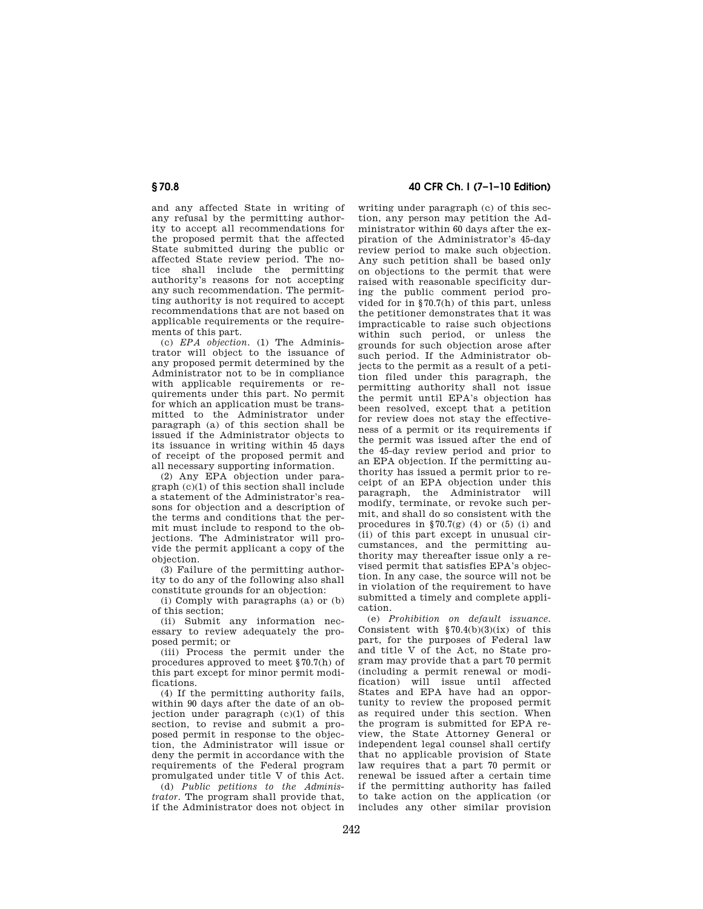and any affected State in writing of any refusal by the permitting authority to accept all recommendations for the proposed permit that the affected State submitted during the public or affected State review period. The notice shall include the permitting authority's reasons for not accepting any such recommendation. The permitting authority is not required to accept recommendations that are not based on applicable requirements or the requirements of this part.

(c) *EPA objection.* (1) The Administrator will object to the issuance of any proposed permit determined by the Administrator not to be in compliance with applicable requirements or requirements under this part. No permit for which an application must be transmitted to the Administrator under paragraph (a) of this section shall be issued if the Administrator objects to its issuance in writing within 45 days of receipt of the proposed permit and all necessary supporting information.

(2) Any EPA objection under paragraph (c)(1) of this section shall include a statement of the Administrator's reasons for objection and a description of the terms and conditions that the permit must include to respond to the objections. The Administrator will provide the permit applicant a copy of the objection.

(3) Failure of the permitting authority to do any of the following also shall constitute grounds for an objection:

(i) Comply with paragraphs (a) or (b) of this section;

(ii) Submit any information necessary to review adequately the proposed permit; or

(iii) Process the permit under the procedures approved to meet §70.7(h) of this part except for minor permit modifications.

(4) If the permitting authority fails, within 90 days after the date of an objection under paragraph (c)(1) of this section, to revise and submit a proposed permit in response to the objection, the Administrator will issue or deny the permit in accordance with the requirements of the Federal program promulgated under title V of this Act.

(d) *Public petitions to the Administrator.* The program shall provide that, if the Administrator does not object in

**§ 70.8 40 CFR Ch. I (7–1–10 Edition)** 

writing under paragraph (c) of this section, any person may petition the Administrator within 60 days after the expiration of the Administrator's 45-day review period to make such objection. Any such petition shall be based only on objections to the permit that were raised with reasonable specificity during the public comment period provided for in §70.7(h) of this part, unless the petitioner demonstrates that it was impracticable to raise such objections within such period, or unless the grounds for such objection arose after such period. If the Administrator objects to the permit as a result of a petition filed under this paragraph, the permitting authority shall not issue the permit until EPA's objection has been resolved, except that a petition for review does not stay the effectiveness of a permit or its requirements if the permit was issued after the end of the 45-day review period and prior to an EPA objection. If the permitting authority has issued a permit prior to receipt of an EPA objection under this paragraph, the Administrator will modify, terminate, or revoke such permit, and shall do so consistent with the procedures in  $\S 70.7(g)$  (4) or (5) (i) and (ii) of this part except in unusual circumstances, and the permitting authority may thereafter issue only a revised permit that satisfies EPA's objection. In any case, the source will not be in violation of the requirement to have submitted a timely and complete application.

(e) *Prohibition on default issuance.*  Consistent with  $$70.4(b)(3)(ix)$  of this part, for the purposes of Federal law and title V of the Act, no State program may provide that a part 70 permit (including a permit renewal or modification) will issue until affected States and EPA have had an opportunity to review the proposed permit as required under this section. When the program is submitted for EPA review, the State Attorney General or independent legal counsel shall certify that no applicable provision of State law requires that a part 70 permit or renewal be issued after a certain time if the permitting authority has failed to take action on the application (or includes any other similar provision